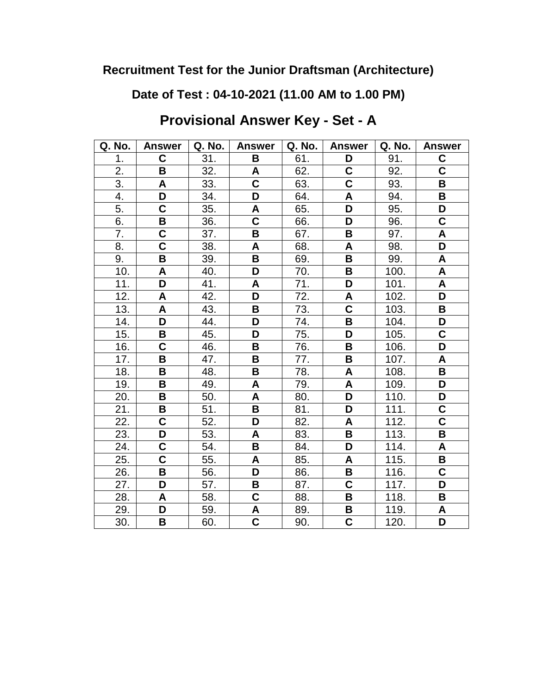**Date of Test : 04-10-2021 (11.00 AM to 1.00 PM)**

**Provisional Answer Key - Set - A**

| Q. No.            | <b>Answer</b>           | Q. No. | <b>Answer</b>             | Q. No. | <b>Answer</b>           | Q. No. | <b>Answer</b>           |
|-------------------|-------------------------|--------|---------------------------|--------|-------------------------|--------|-------------------------|
| 1.                | $\mathbf C$             | 31.    | B                         | 61.    | D                       | 91.    | C                       |
| 2.                | B                       | 32.    | A                         | 62.    | C                       | 92.    | $\mathbf C$             |
| $\overline{3}$ .  | A                       | 33.    | C                         | 63.    | $\overline{\mathsf{c}}$ | 93.    | B                       |
| 4.                | D                       | 34.    | D                         | 64.    | A                       | 94.    | B                       |
| 5.                | C                       | 35.    | A                         | 65.    | D                       | 95.    | D                       |
| 6.                | $\overline{\mathsf{B}}$ | 36.    | $\overline{\mathsf{C}}$   | 66.    | D                       | 96.    | $\overline{\mathsf{C}}$ |
| 7.                | $\mathbf C$             | 37.    | B                         | 67.    | B                       | 97.    | A                       |
| 8.                | $\overline{\mathsf{C}}$ | 38.    | $\boldsymbol{\mathsf{A}}$ | 68.    | A                       | 98.    | D                       |
| 9.                | B                       | 39.    | B                         | 69.    | B                       | 99.    | A                       |
| 10.               | A                       | 40.    | D                         | 70.    | B                       | 100.   | A                       |
| 11.               | D                       | 41.    | A                         | 71.    | D                       | 101.   | A                       |
| 12.               | $\mathsf{A}$            | 42.    | D                         | 72.    | A                       | 102.   | D                       |
| $\overline{13}$ . | A                       | 43.    | B                         | 73.    | $\overline{\textbf{C}}$ | 103.   | B                       |
| 14.               | D                       | 44.    | D                         | 74.    | B                       | 104.   | D                       |
| 15.               | B                       | 45.    | D                         | 75.    | D                       | 105.   | $\mathbf C$             |
| 16.               | $\overline{\mathbf{C}}$ | 46.    | B                         | 76.    | B                       | 106.   | D                       |
| 17.               | B                       | 47.    | B                         | 77.    | B                       | 107.   | A                       |
| 18.               | B                       | 48.    | B                         | 78.    | A                       | 108.   | B                       |
| $\overline{19}$ . | B                       | 49.    | A                         | 79.    | A                       | 109.   | D                       |
| 20.               | B                       | 50.    | A                         | 80.    | $\overline{\mathsf{D}}$ | 110.   | D                       |
| 21.               | B                       | 51.    | B                         | 81.    | $\overline{\mathsf{D}}$ | 111.   | $\overline{\mathbf{C}}$ |
| 22.               | $\overline{\mathbf{C}}$ | 52.    | D                         | 82.    | A                       | 112.   | $\overline{\mathsf{C}}$ |
| 23.               | D                       | 53.    | A                         | 83.    | B                       | 113.   | B                       |
| 24.               | C                       | 54.    | B                         | 84.    | D                       | 114.   | A                       |
| 25.               | $\overline{\textbf{C}}$ | 55.    | A                         | 85.    | A                       | 115.   | В                       |
| 26.               | B                       | 56.    | D                         | 86.    | B                       | 116.   | $\mathbf C$             |
| 27.               | D                       | 57.    | B                         | 87.    | C                       | 117.   | D                       |
| 28.               | $\mathsf{A}$            | 58.    | C                         | 88.    | B                       | 118.   | B                       |
| 29.               | D                       | 59.    | A                         | 89.    | В                       | 119.   | A                       |
| 30.               | В                       | 60.    | C                         | 90.    | $\overline{\textbf{C}}$ | 120.   | D                       |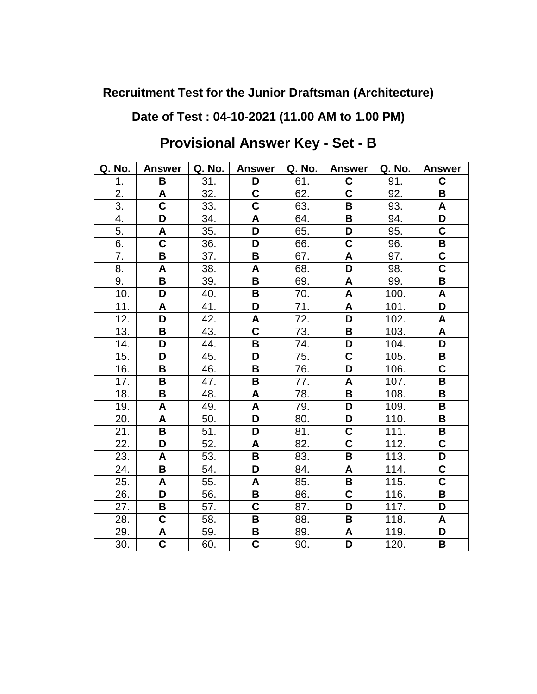## **Date of Test : 04-10-2021 (11.00 AM to 1.00 PM)**

| Q. No.            | <b>Answer</b>           | Q. No. | <b>Answer</b>           | Q. No. | <b>Answer</b>           | Q. No. | <b>Answer</b>           |
|-------------------|-------------------------|--------|-------------------------|--------|-------------------------|--------|-------------------------|
| 1.                | B                       | 31.    | D                       | 61.    | C                       | 91.    | C                       |
| 2.                | A                       | 32.    | C                       | 62.    | $\overline{\mathsf{c}}$ | 92.    | В                       |
| 3.                | $\overline{\mathsf{C}}$ | 33.    | Ć                       | 63.    | B                       | 93.    | A                       |
| 4.                | D                       | 34.    | A                       | 64.    | B                       | 94.    | D                       |
| 5.                | A                       | 35.    | D                       | 65.    | D                       | 95.    | C                       |
| 6.                | $\overline{\mathbf{c}}$ | 36.    | D                       | 66.    | $\overline{\mathsf{C}}$ | 96.    | B                       |
| 7.                | B                       | 37.    | B                       | 67.    | A                       | 97.    | C                       |
| 8.                | A                       | 38.    | A                       | 68.    | D                       | 98.    | $\overline{\textbf{C}}$ |
| 9.                | B                       | 39.    | B                       | 69.    | A                       | 99.    | B                       |
| 10.               | D                       | 40.    | В                       | 70.    | A                       | 100.   | A                       |
| $\overline{1}1.$  | A                       | 41.    | D                       | 71.    | A                       | 101.   | D                       |
| 12.               | D                       | 42.    | A                       | 72.    | D                       | 102.   | A                       |
| 13.               | B                       | 43.    | C                       | 73.    | B                       | 103.   | A                       |
| 14.               | D                       | 44.    | B                       | 74.    | D                       | 104.   | D                       |
| 15.               | D                       | 45.    | D                       | 75.    | $\overline{\mathsf{C}}$ | 105.   | B                       |
| 16.               | B                       | 46.    | $\pmb{\mathsf{B}}$      | 76.    | $\overline{\mathsf{D}}$ | 106.   | $\overline{\mathsf{c}}$ |
| $\overline{17}$ . | B                       | 47.    | B                       | 77.    | A                       | 107.   | B                       |
| 18.               | B                       | 48.    | A                       | 78.    | $\overline{\mathbf{B}}$ | 108.   | B                       |
| 19.               | A                       | 49.    | A                       | 79.    | D                       | 109.   | B                       |
| 20.               | A                       | 50.    | D                       | 80.    | D                       | 110.   | B                       |
| 21.               | $\overline{\mathbf{B}}$ | 51.    | D                       | 81.    | $\overline{\mathsf{C}}$ | 111.   | В                       |
| 22.               | D                       | 52.    | A                       | 82.    | $\overline{\textbf{C}}$ | 112.   | $\overline{\mathsf{C}}$ |
| 23.               | A                       | 53.    | B                       | 83.    | B                       | 113.   | D                       |
| 24.               | B                       | 54.    | D                       | 84.    | A                       | 114.   | C                       |
| 25.               | A                       | 55.    | A                       | 85.    | B                       | 115.   | $\overline{\textbf{C}}$ |
| 26.               | D                       | 56.    | $\overline{\mathbf{B}}$ | 86.    | $\overline{\mathsf{C}}$ | 116.   | В                       |
| 27.               | B                       | 57.    | C                       | 87.    | D                       | 117.   | D                       |
| 28.               | $\mathbf C$             | 58.    | B                       | 88.    | B                       | 118.   | A                       |
| 29.               | A                       | 59.    | B                       | 89.    | A                       | 119.   | D                       |
| 30.               | $\overline{\textbf{C}}$ | 60.    | C                       | 90.    | D                       | 120.   | B                       |

# **Provisional Answer Key - Set - B**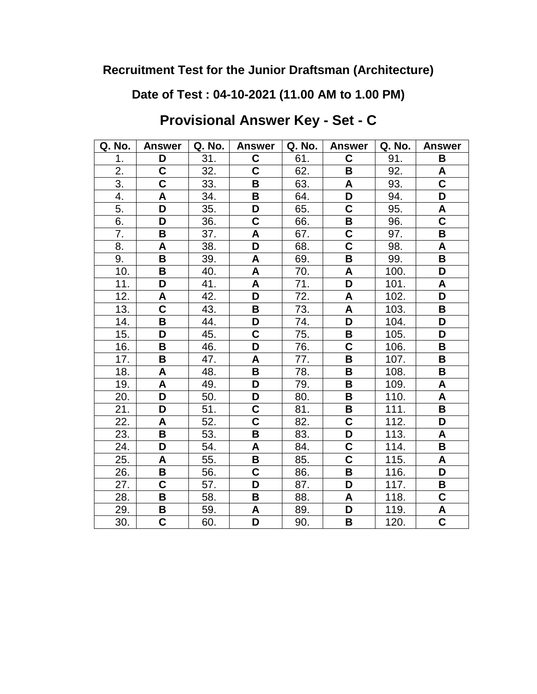**Date of Test : 04-10-2021 (11.00 AM to 1.00 PM)**

**Provisional Answer Key - Set - C**

| Q. No.           | <b>Answer</b>           | Q. No. | <b>Answer</b>             | Q. No. | <b>Answer</b>             | Q. No.             | <b>Answer</b>             |
|------------------|-------------------------|--------|---------------------------|--------|---------------------------|--------------------|---------------------------|
| 1.               | D                       | 31.    | C                         | 61.    | $\mathbf c$               | 91.                | B                         |
| 2.               | C                       | 32.    | C                         | 62.    | B                         | 92.                | A                         |
| $\overline{3}$ . | $\overline{\mathbf{c}}$ | 33.    | B                         | 63.    | A                         | 93.                | $\overline{\mathbf{C}}$   |
| 4.               | A                       | 34.    | В                         | 64.    | D                         | 94.                | D                         |
| 5.               | D                       | 35.    | D                         | 65.    | $\overline{\mathsf{C}}$   | 95.                | $\boldsymbol{\mathsf{A}}$ |
| 6.               | D                       | 36.    | $\overline{\mathsf{C}}$   | 66.    | $\overline{\mathsf{B}}$   | 96.                | $\overline{\textbf{C}}$   |
| 7.               | B                       | 37.    | A                         | 67.    | $\overline{\mathsf{C}}$   | 97.                | B                         |
| 8.               | A                       | 38.    | D                         | 68.    | $\overline{\textbf{c}}$   | 98.                | A                         |
| 9.               | B                       | 39.    | $\boldsymbol{\mathsf{A}}$ | 69.    | B                         | 99.                | B                         |
| 10.              | B                       | 40.    | A                         | 70.    | A                         | 100.               | D                         |
| 11.              | D                       | 41.    | A                         | 71.    | D                         | 101.               | A                         |
| 12.              | A                       | 42.    | D                         | 72.    | $\boldsymbol{\mathsf{A}}$ | 102.               | $\overline{\mathsf{D}}$   |
| 13.              | $\overline{\mathsf{C}}$ | 43.    | B                         | 73.    | A                         | 103.               | B                         |
| 14.              | B                       | 44.    | D                         | 74.    | D                         | 104.               | D                         |
| 15.              | D                       | 45.    | C                         | 75.    | $\overline{\mathbf{B}}$   | 105.               | D                         |
| 16.              | B                       | 46.    | D                         | 76.    | $\overline{\mathsf{c}}$   | 106.               | B                         |
| 17.              | B                       | 47.    | A                         | 77.    | B                         | 107.               | В                         |
| 18.              | $\mathsf{A}$            | 48.    | B                         | 78.    | B                         | 108.               | B                         |
| 19.              | A                       | 49.    | D                         | 79.    | B                         | 109.               | A                         |
| 20.              | D                       | 50.    | D                         | 80.    | $\overline{\mathbf{B}}$   | 110.               | A                         |
| 21.              | D                       | 51.    | C                         | 81.    | B                         | 111.               | B                         |
| 22.              | A                       | 52.    | C                         | 82.    | $\mathbf C$               | 112.               | D                         |
| 23.              | B                       | 53.    | B                         | 83.    | D                         | 113.               | A                         |
| 24.              | D                       | 54.    | A                         | 84.    | $\overline{\textbf{C}}$   | $\overline{114}$ . | B                         |
| 25.              | A                       | 55.    | B                         | 85.    | $\overline{\mathsf{c}}$   | 115.               | A                         |
| 26.              | B                       | 56.    | $\mathbf C$               | 86.    | $\mathbf B$               | 116.               | D                         |
| 27.              | $\mathbf C$             | 57.    | D                         | 87.    | D                         | 117.               | В                         |
| 28.              | B                       | 58.    | B                         | 88.    | A                         | 118.               | $\overline{\mathbf{C}}$   |
| 29.              | В                       | 59.    | A                         | 89.    | D                         | 119.               | A                         |
| 30.              | $\overline{\textbf{C}}$ | 60.    | D                         | 90.    | $\overline{\mathbf{B}}$   | 120.               | $\overline{\textbf{c}}$   |